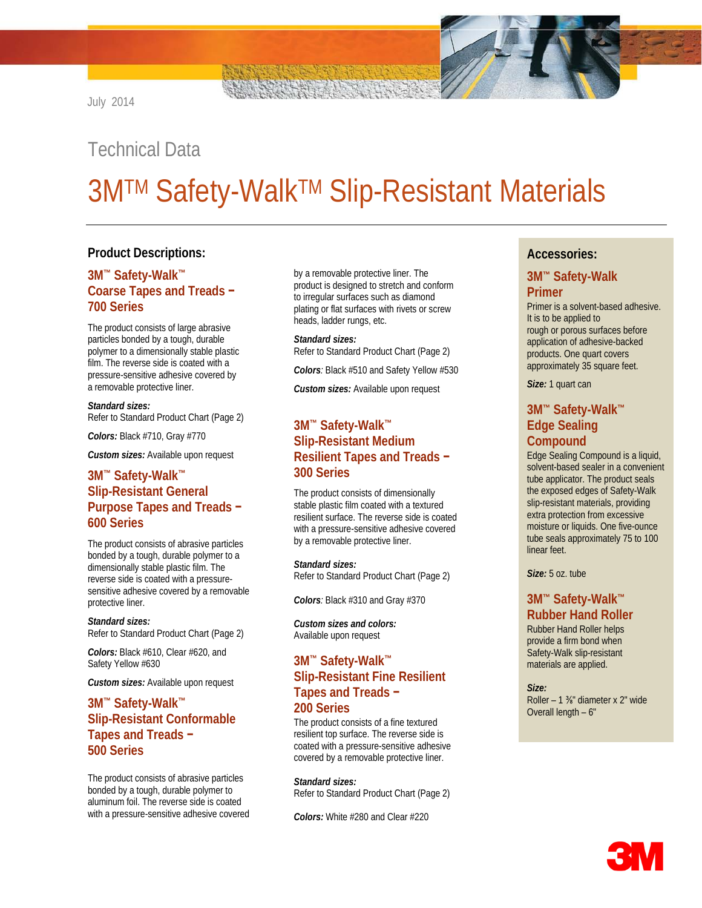# Technical Data

# **3M™ Safety-Walk™ Slip-Resistant Materials**

### **Product Descriptions:**

### **3M™ Safety-Walk™ Coarse Tapes and Treads − 700 Series**

The product consists of large abrasive particles bonded by a tough, durable polymer to a dimensionally stable plastic film. The reverse side is coated with a pressure-sensitive adhesive covered by a removable protective liner.

*Standard sizes:* Refer to Standard Product Chart (Page 2)

*Colors:* Black #710, Gray #770

*Custom sizes:* Available upon request

### **3M™ Safety-Walk™ Slip-Resistant General Purpose Tapes and Treads − 600 Series**

The product consists of abrasive particles bonded by a tough, durable polymer to a dimensionally stable plastic film. The reverse side is coated with a pressuresensitive adhesive covered by a removable protective liner.

#### *Standard sizes:* Refer to Standard Product Chart (Page 2)

*Colors:* Black #610, Clear #620, and Safety Yellow #630

*Custom sizes:* Available upon request

### **3M™ Safety-Walk™ Slip-Resistant Conformable Tapes and Treads − 500 Series**

The product consists of abrasive particles bonded by a tough, durable polymer to aluminum foil. The reverse side is coated with a pressure-sensitive adhesive covered by a removable protective liner. The product is designed to stretch and conform to irregular surfaces such as diamond plating or flat surfaces with rivets or screw heads, ladder rungs, etc.

*Standard sizes:*  Refer to Standard Product Chart (Page 2)

*Colors:* Black #510 and Safety Yellow #530

*Custom sizes:* Available upon request

### **3M™ Safety-Walk™ Slip-Resistant Medium Resilient Tapes and Treads − 300 Series**

The product consists of dimensionally stable plastic film coated with a textured resilient surface. The reverse side is coated with a pressure-sensitive adhesive covered by a removable protective liner.

*Standard sizes:*

Refer to Standard Product Chart (Page 2)

*Colors:* Black #310 and Gray #370

*Custom sizes and colors:* Available upon request

### **3M™ Safety-Walk™ Slip-Resistant Fine Resilient Tapes and Treads − 200 Series**

The product consists of a fine textured resilient top surface. The reverse side is coated with a pressure-sensitive adhesive covered by a removable protective liner.

*Standard sizes:* Refer to Standard Product Chart (Page 2)

*Colors:* White #280 and Clear #220

### **Accessories:**

#### **3M™ Safety-Walk Primer**

Primer is a solvent-based adhesive. It is to be applied to rough or porous surfaces before application of adhesive-backed products. One quart covers approximately 35 square feet.

*Size:* 1 quart can

### **3M™ Safety-Walk™ Edge Sealing Compound**

Edge Sealing Compound is a liquid, solvent-based sealer in a convenient tube applicator. The product seals the exposed edges of Safety-Walk slip-resistant materials, providing extra protection from excessive moisture or liquids. One five-ounce tube seals approximately 75 to 100 linear feet.

*Size:* 5 oz. tube

### **3M™ Safety-Walk™ Rubber Hand Roller**

Rubber Hand Roller helps provide a firm bond when Safety-Walk slip-resistant materials are applied.

*Size:* Roller – 1 ⅜" diameter x 2" wide Overall length – 6"

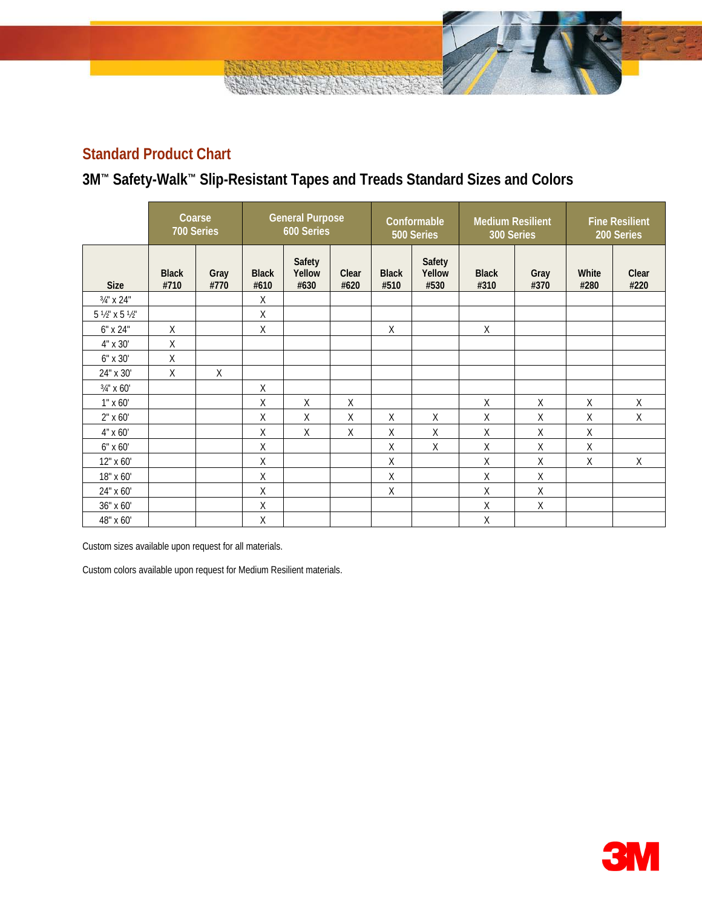# **Standard Product Chart**

# **3M™ Safety-Walk™ Slip-Resistant Tapes and Treads Standard Sizes and Colors**

|                                     | Coarse<br>700 Series |              | <b>General Purpose</b><br>600 Series |                          | Conformable<br>500 Series |                      | <b>Medium Resilient</b><br>300 Series |                      | <b>Fine Resilient</b><br>200 Series |               |               |
|-------------------------------------|----------------------|--------------|--------------------------------------|--------------------------|---------------------------|----------------------|---------------------------------------|----------------------|-------------------------------------|---------------|---------------|
| <b>Size</b>                         | <b>Black</b><br>#710 | Gray<br>#770 | <b>Black</b><br>#610                 | Safety<br>Yellow<br>#630 | Clear<br>#620             | <b>Black</b><br>#510 | Safety<br>Yellow<br>#530              | <b>Black</b><br>#310 | Gray<br>#370                        | White<br>#280 | Clear<br>#220 |
| 3/4" x 24"                          |                      |              | X                                    |                          |                           |                      |                                       |                      |                                     |               |               |
| $5\frac{1}{2}$ " x $5\frac{1}{2}$ " |                      |              | Χ                                    |                          |                           |                      |                                       |                      |                                     |               |               |
| 6" x 24"                            | X                    |              | Χ                                    |                          |                           | X                    |                                       | X                    |                                     |               |               |
| 4" x 30'                            | X                    |              |                                      |                          |                           |                      |                                       |                      |                                     |               |               |
| 6" x 30'                            | $\mathsf X$          |              |                                      |                          |                           |                      |                                       |                      |                                     |               |               |
| 24" x 30'                           | $\sf X$              | $\mathsf X$  |                                      |                          |                           |                      |                                       |                      |                                     |               |               |
| 3/4" x 60"                          |                      |              | X                                    |                          |                           |                      |                                       |                      |                                     |               |               |
| $1" \times 60'$                     |                      |              | Χ                                    | X                        | Χ                         |                      |                                       | X                    | X                                   | $\sf X$       | $\sf X$       |
| $2" \times 60"$                     |                      |              | X                                    | X                        | X                         | X                    | Χ                                     | Χ                    | X                                   | X             | X             |
| 4" x 60'                            |                      |              | X                                    | X                        | X                         | X                    | $\sf X$                               | X                    | X                                   | Χ             |               |
| 6" x 60'                            |                      |              | Χ                                    |                          |                           | Χ                    | Χ                                     | X                    | X                                   | Χ             |               |
| 12" x 60'                           |                      |              | $\mathsf X$                          |                          |                           | $\sf X$              |                                       | X                    | X                                   | X             | X             |
| 18" x 60'                           |                      |              | Χ                                    |                          |                           | Χ                    |                                       | $\mathsf X$          | Χ                                   |               |               |
| 24" x 60'                           |                      |              | χ                                    |                          |                           | $\mathsf X$          |                                       | Χ                    | X                                   |               |               |
| 36" x 60'                           |                      |              | X                                    |                          |                           |                      |                                       | Χ                    | $\sf X$                             |               |               |
| 48" x 60'                           |                      |              | Χ                                    |                          |                           |                      |                                       | $\mathsf X$          |                                     |               |               |

Custom sizes available upon request for all materials.

Custom colors available upon request for Medium Resilient materials.

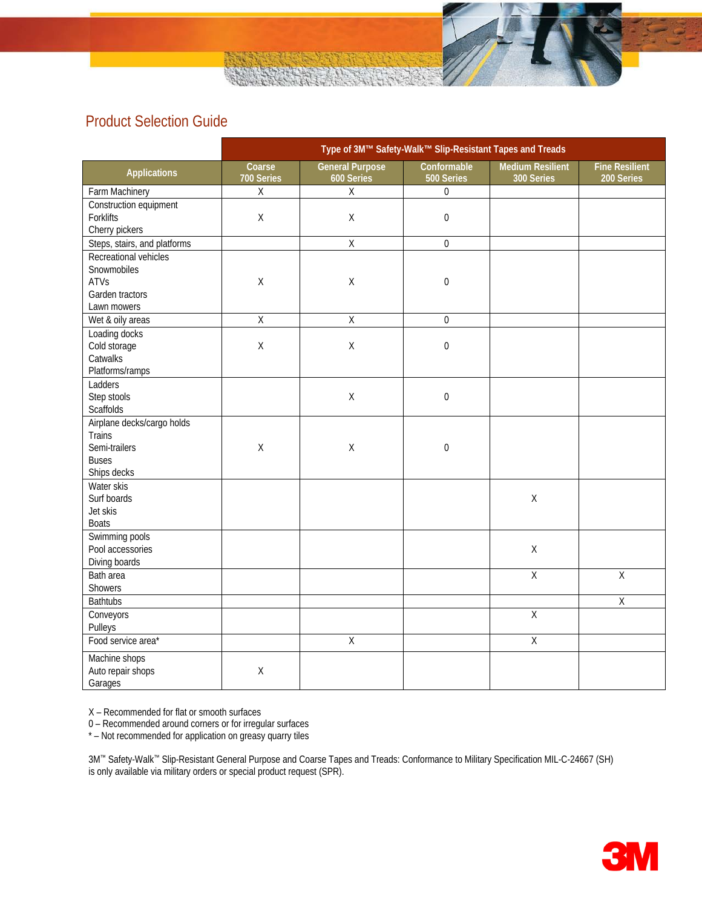# Product Selection Guide

|                              |                                                     | Type of 3M™ Safety-Walk™ Slip-Resistant Tapes and Treads |                           |                                       |                                     |
|------------------------------|-----------------------------------------------------|----------------------------------------------------------|---------------------------|---------------------------------------|-------------------------------------|
| <b>Applications</b>          | Coarse<br>700 Series                                | <b>General Purpose</b><br>600 Series                     | Conformable<br>500 Series | <b>Medium Resilient</b><br>300 Series | <b>Fine Resilient</b><br>200 Series |
| Farm Machinery               | $\mathsf X$                                         | $\sf X$                                                  | $\overline{0}$            |                                       |                                     |
| Construction equipment       |                                                     |                                                          |                           |                                       |                                     |
| Forklifts                    | Χ                                                   | $\mathsf X$                                              | 0                         |                                       |                                     |
| Cherry pickers               |                                                     |                                                          |                           |                                       |                                     |
| Steps, stairs, and platforms |                                                     | $\mathsf X$                                              | $\boldsymbol{0}$          |                                       |                                     |
| Recreational vehicles        |                                                     |                                                          |                           |                                       |                                     |
| Snowmobiles                  |                                                     |                                                          |                           |                                       |                                     |
| ATVs                         | $\sf X$                                             | $\mathsf X$                                              | $\boldsymbol{0}$          |                                       |                                     |
| Garden tractors              |                                                     |                                                          |                           |                                       |                                     |
| Lawn mowers                  |                                                     |                                                          |                           |                                       |                                     |
| Wet & oily areas             | $\overline{X}$                                      | $\overline{X}$                                           | $\mathbf 0$               |                                       |                                     |
| Loading docks                |                                                     |                                                          |                           |                                       |                                     |
| Cold storage                 | $\mathsf{X}% _{0}^{\prime}=\mathsf{X}_{0}^{\prime}$ | $\mathsf X$                                              | $\boldsymbol{0}$          |                                       |                                     |
| Catwalks                     |                                                     |                                                          |                           |                                       |                                     |
| Platforms/ramps              |                                                     |                                                          |                           |                                       |                                     |
| Ladders                      |                                                     |                                                          |                           |                                       |                                     |
| Step stools                  |                                                     | $\mathsf X$                                              | $\boldsymbol{0}$          |                                       |                                     |
| Scaffolds                    |                                                     |                                                          |                           |                                       |                                     |
| Airplane decks/cargo holds   |                                                     |                                                          |                           |                                       |                                     |
| Trains                       |                                                     |                                                          |                           |                                       |                                     |
| Semi-trailers                | $\mathsf X$                                         | $\mathsf X$                                              | $\boldsymbol{0}$          |                                       |                                     |
| <b>Buses</b>                 |                                                     |                                                          |                           |                                       |                                     |
| Ships decks                  |                                                     |                                                          |                           |                                       |                                     |
| Water skis                   |                                                     |                                                          |                           |                                       |                                     |
| Surf boards                  |                                                     |                                                          |                           | $\sf X$                               |                                     |
| Jet skis                     |                                                     |                                                          |                           |                                       |                                     |
| <b>Boats</b>                 |                                                     |                                                          |                           |                                       |                                     |
| Swimming pools               |                                                     |                                                          |                           |                                       |                                     |
| Pool accessories             |                                                     |                                                          |                           | $\mathsf X$                           |                                     |
| Diving boards                |                                                     |                                                          |                           |                                       |                                     |
| Bath area                    |                                                     |                                                          |                           | $\overline{X}$                        | $\overline{X}$                      |
| Showers                      |                                                     |                                                          |                           |                                       |                                     |
| <b>Bathtubs</b>              |                                                     |                                                          |                           |                                       | $\overline{X}$                      |
| Conveyors                    |                                                     |                                                          |                           | $\overline{X}$                        |                                     |
| Pulleys                      |                                                     |                                                          |                           |                                       |                                     |
| Food service area*           |                                                     | $\overline{X}$                                           |                           | $\overline{\mathsf{X}}$               |                                     |
| Machine shops                |                                                     |                                                          |                           |                                       |                                     |
| Auto repair shops            | $\mathsf X$                                         |                                                          |                           |                                       |                                     |
| Garages                      |                                                     |                                                          |                           |                                       |                                     |

X – Recommended for flat or smooth surfaces

0 – Recommended around corners or for irregular surfaces

\* – Not recommended for application on greasy quarry tiles

3M™ Safety-Walk™ Slip-Resistant General Purpose and Coarse Tapes and Treads: Conformance to Military Specification MIL-C-24667 (SH) is only available via military orders or special product request (SPR).

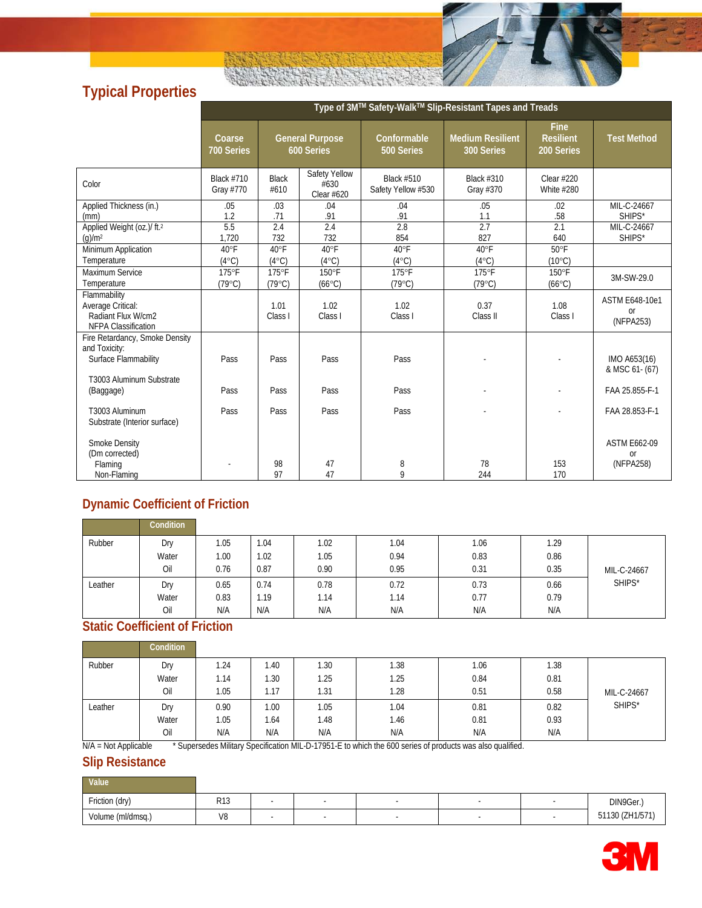# **Typical Properties**

|                                                                                                     | Type of 3M™ Safety-Walk™ Slip-Resistant Tapes and Treads |                      |                                      |                                         |                                       |                                               |                                                 |  |  |  |
|-----------------------------------------------------------------------------------------------------|----------------------------------------------------------|----------------------|--------------------------------------|-----------------------------------------|---------------------------------------|-----------------------------------------------|-------------------------------------------------|--|--|--|
|                                                                                                     | Coarse<br>700 Series                                     |                      | <b>General Purpose</b><br>600 Series | Conformable<br>500 Series               | <b>Medium Resilient</b><br>300 Series | <b>Fine</b><br><b>Resilient</b><br>200 Series | <b>Test Method</b>                              |  |  |  |
| Color                                                                                               | <b>Black #710</b><br>Gray #770                           | <b>Black</b><br>#610 | Safety Yellow<br>#630<br>Clear #620  | <b>Black #510</b><br>Safety Yellow #530 | Black #310<br>Gray #370               | Clear $#220$<br><b>White #280</b>             |                                                 |  |  |  |
| Applied Thickness (in.)                                                                             | .05                                                      | .03                  | .04                                  | .04                                     | .05                                   | .02                                           | MIL-C-24667                                     |  |  |  |
| (mm)                                                                                                | 1.2                                                      | .71                  | .91                                  | .91                                     | 1.1                                   | .58                                           | SHIPS*                                          |  |  |  |
| Applied Weight (oz.)/ ft. <sup>2</sup>                                                              | 5.5                                                      | 2.4                  | 2.4                                  | 2.8                                     | 2.7                                   | 2.1                                           | MIL-C-24667                                     |  |  |  |
| $(g)/m^2$                                                                                           | 1,720                                                    | 732                  | 732                                  | 854                                     | 827                                   | 640                                           | SHIPS*                                          |  |  |  |
| Minimum Application                                                                                 | 40°F                                                     | $40^{\circ}$ F       | $40^{\circ}$ F                       | 40°F                                    | 40°F                                  | $50^{\circ}$ F                                |                                                 |  |  |  |
| Temperature                                                                                         | $(4^{\circ}C)$                                           | $(4^{\circ}C)$       | $(4^{\circ}C)$                       | $(4^{\circ}C)$                          | $(4^{\circ}C)$                        | $(10^{\circ}C)$                               |                                                 |  |  |  |
| Maximum Service                                                                                     | 175°F                                                    | 175°F                | 150°F                                | 175°F                                   | 175°F                                 | $150^{\circ}$ F                               | 3M-SW-29.0                                      |  |  |  |
| Temperature                                                                                         | $(79^{\circ}C)$                                          | $(79^{\circ}C)$      | $(66^{\circ}C)$                      | $(79^{\circ}C)$                         | $(79^{\circ}C)$                       | $(66^{\circ}C)$                               |                                                 |  |  |  |
| Flammability<br>Average Critical:<br>Radiant Flux W/cm2<br><b>NFPA Classification</b>               |                                                          | 1.01<br>Class I      | 1.02<br>Class I                      | 1.02<br>Class I                         | 0.37<br>Class II                      | 1.08<br>Class I                               | <b>ASTM E648-10e1</b><br><b>or</b><br>(NFPA253) |  |  |  |
| Fire Retardancy, Smoke Density<br>and Toxicity:<br>Surface Flammability<br>T3003 Aluminum Substrate | Pass                                                     | Pass                 | Pass                                 | Pass                                    |                                       |                                               | IMO A653(16)<br>& MSC 61- (67)                  |  |  |  |
| (Baggage)                                                                                           | Pass                                                     | Pass                 | Pass                                 | Pass                                    |                                       |                                               | FAA 25.855-F-1                                  |  |  |  |
| T3003 Aluminum<br>Substrate (Interior surface)                                                      | Pass                                                     | Pass                 | Pass                                 | Pass                                    |                                       |                                               | FAA 28.853-F-1                                  |  |  |  |
| <b>Smoke Density</b><br>(Dm corrected)<br>Flaming                                                   |                                                          | 98                   | 47                                   | 8                                       | 78                                    | 153                                           | <b>ASTM E662-09</b><br><b>or</b><br>(NFPA258)   |  |  |  |
| Non-Flaming                                                                                         |                                                          | 97                   | 47                                   | 9                                       | 244                                   | 170                                           |                                                 |  |  |  |

## **Dynamic Coefficient of Friction**

|         | Condition |       |      |      |      |      |      |             |
|---------|-----------|-------|------|------|------|------|------|-------------|
| Rubber  | Dry       | i .05 | 1.04 | 1.02 | 1.04 | 1.06 | 1.29 |             |
|         | Water     | 0.00  | 1.02 | 1.05 | 0.94 | 0.83 | 0.86 |             |
|         | Oil       | 0.76  | 0.87 | 0.90 | 0.95 | 0.31 | 0.35 | MIL-C-24667 |
| Leather | Dry       | 0.65  | 0.74 | 0.78 | 0.72 | 0.73 | 0.66 | SHIPS*      |
|         | Water     | 0.83  | i.19 | 1.14 | 1.14 | 0.77 | 0.79 |             |
|         | Oil       | N/A   | N/A  | N/A  | N/A  | N/A  | N/A  |             |

### **Static Coefficient of Friction**

|         | Condition |      |      |      |      |      |      |             |
|---------|-----------|------|------|------|------|------|------|-------------|
| Rubber  | Dry       | 1.24 | 1.40 | 1.30 | 1.38 | 1.06 | 1.38 |             |
|         | Water     | 1.14 | l.30 | 1.25 | 1.25 | 0.84 | 0.81 |             |
|         | Oil       | 1.05 | 1.17 | 1.31 | 1.28 | 0.51 | 0.58 | MIL-C-24667 |
| Leather | Dry       | 0.90 | 1.00 | 1.05 | 1.04 | 0.81 | 0.82 | SHIPS*      |
|         | Water     | 1.05 | 1.64 | 1.48 | 1.46 | 0.81 | 0.93 |             |
|         | Oil       | N/A  | N/A  | N/A  | N/A  | N/A  | N/A  |             |

N/A = Not Applicable \* Supersedes Military Specification MIL-D-17951-E to which the 600 series of products was also qualified.

### **Slip Resistance**

| <b>Value</b>      |             |  |  |                 |
|-------------------|-------------|--|--|-----------------|
| Friction (dry)    | D12<br>נו א |  |  | DIN9Ger.)       |
| Volume (ml/dmsq.) | V8          |  |  | 51130 (ZH1/571) |

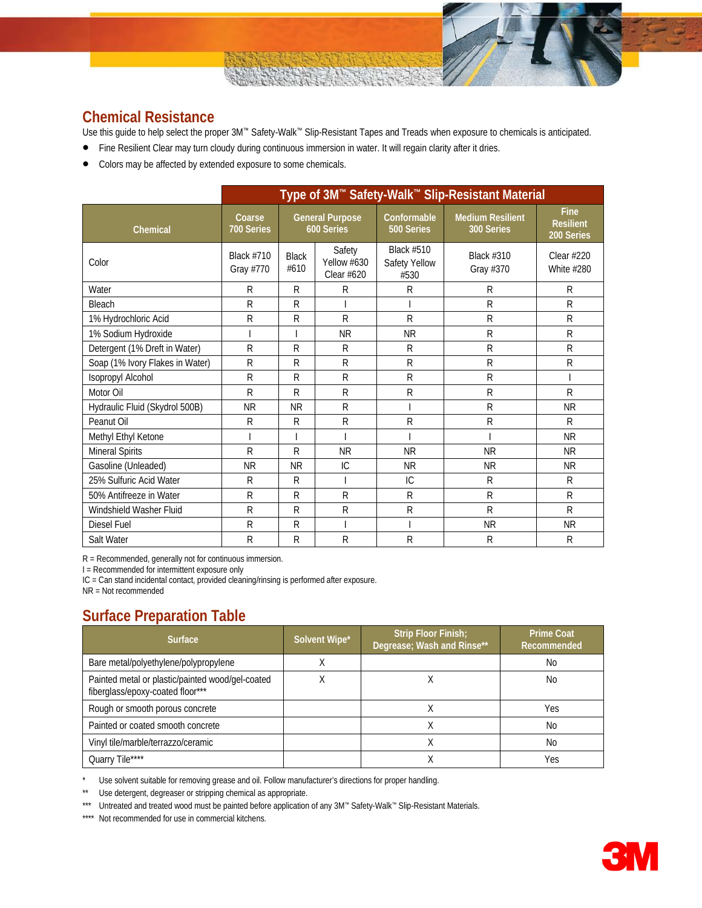### **Chemical Resistance**

Use this guide to help select the proper 3M™ Safety-Walk™ Slip-Resistant Tapes and Treads when exposure to chemicals is anticipated.

- Fine Resilient Clear may turn cloudy during continuous immersion in water. It will regain clarity after it dries.
- Colors may be affected by extended exposure to some chemicals.

|                                 | Type of 3M™ Safety-Walk™ Slip-Resistant Material |                      |                                      |                                            |                                       |                                               |  |  |
|---------------------------------|--------------------------------------------------|----------------------|--------------------------------------|--------------------------------------------|---------------------------------------|-----------------------------------------------|--|--|
| Chemical                        | Coarse<br>700 Series                             |                      | <b>General Purpose</b><br>600 Series | Conformable<br>500 Series                  | <b>Medium Resilient</b><br>300 Series | <b>Fine</b><br><b>Resilient</b><br>200 Series |  |  |
| Color                           | <b>Black #710</b><br>Gray #770                   | <b>Black</b><br>#610 | Safety<br>Yellow #630<br>Clear #620  | <b>Black #510</b><br>Safety Yellow<br>#530 | <b>Black #310</b><br>Gray #370        | Clear #220<br>White #280                      |  |  |
| Water                           | R                                                | R                    | R                                    | R                                          | R                                     | R                                             |  |  |
| Bleach                          | R                                                | R                    |                                      |                                            | $\mathsf{R}$                          | R                                             |  |  |
| 1% Hydrochloric Acid            | R                                                | $\mathsf{R}$         | $\mathsf{R}$                         | R                                          | $\mathsf{R}$                          | R                                             |  |  |
| 1% Sodium Hydroxide             |                                                  |                      | <b>NR</b>                            | <b>NR</b>                                  | R                                     | R                                             |  |  |
| Detergent (1% Dreft in Water)   | R                                                | R                    | $\mathsf{R}$                         | R                                          | $\mathsf{R}$                          | R                                             |  |  |
| Soap (1% Ivory Flakes in Water) | R                                                | R                    | R                                    | $\mathsf R$                                | $\mathsf{R}$                          | R                                             |  |  |
| Isopropyl Alcohol               | $\mathsf{R}$                                     | $\mathsf{R}$         | $\mathsf{R}$                         | R                                          | $\mathsf{R}$                          |                                               |  |  |
| Motor Oil                       | R                                                | $\mathsf{R}$         | R                                    | R                                          | $\mathsf{R}$                          | R                                             |  |  |
| Hydraulic Fluid (Skydrol 500B)  | <b>NR</b>                                        | <b>NR</b>            | R                                    |                                            | $\mathsf{R}$                          | <b>NR</b>                                     |  |  |
| Peanut Oil                      | R                                                | R                    | R                                    | $\mathsf{R}$                               | $\mathsf{R}$                          | R                                             |  |  |
| Methyl Ethyl Ketone             |                                                  |                      |                                      |                                            |                                       | <b>NR</b>                                     |  |  |
| <b>Mineral Spirits</b>          | R                                                | R                    | <b>NR</b>                            | <b>NR</b>                                  | <b>NR</b>                             | <b>NR</b>                                     |  |  |
| Gasoline (Unleaded)             | <b>NR</b>                                        | <b>NR</b>            | IC                                   | <b>NR</b>                                  | <b>NR</b>                             | <b>NR</b>                                     |  |  |
| 25% Sulfuric Acid Water         | R                                                | R                    |                                      | IC                                         | R                                     | R                                             |  |  |
| 50% Antifreeze in Water         | R                                                | R                    | R                                    | R                                          | $\mathsf{R}$                          | R                                             |  |  |
| Windshield Washer Fluid         | R                                                | R                    | R                                    | R                                          | $\mathsf{R}$                          | R                                             |  |  |
| Diesel Fuel                     | R                                                | R                    |                                      |                                            | <b>NR</b>                             | <b>NR</b>                                     |  |  |
| Salt Water                      | R                                                | R                    | R                                    | $\mathsf R$                                | R                                     | R                                             |  |  |

R = Recommended, generally not for continuous immersion.

I = Recommended for intermittent exposure only

IC = Can stand incidental contact, provided cleaning/rinsing is performed after exposure.

NR = Not recommended

# **Surface Preparation Table**

| <b>Surface</b>                                                                       | Solvent Wipe* | Strip Floor Finish;<br>Degrease; Wash and Rinse** | <b>Prime Coat</b><br>Recommended |
|--------------------------------------------------------------------------------------|---------------|---------------------------------------------------|----------------------------------|
| Bare metal/polyethylene/polypropylene                                                | Χ             |                                                   | No                               |
| Painted metal or plastic/painted wood/gel-coated<br>fiberglass/epoxy-coated floor*** | ∧             |                                                   | No                               |
| Rough or smooth porous concrete                                                      |               |                                                   | Yes                              |
| Painted or coated smooth concrete                                                    |               |                                                   | No                               |
| Vinyl tile/marble/terrazzo/ceramic                                                   |               |                                                   | No                               |
| Quarry Tile****                                                                      |               |                                                   | Yes                              |

\* Use solvent suitable for removing grease and oil. Follow manufacturer's directions for proper handling.<br>\*\* Use deternent degreaser or stripping chemical as appropriate

Use detergent, degreaser or stripping chemical as appropriate.

\*\*\* Untreated and treated wood must be painted before application of any 3M™ Safety-Walk™ Slip-Resistant Materials.

\*\*\*\* Not recommended for use in commercial kitchens.

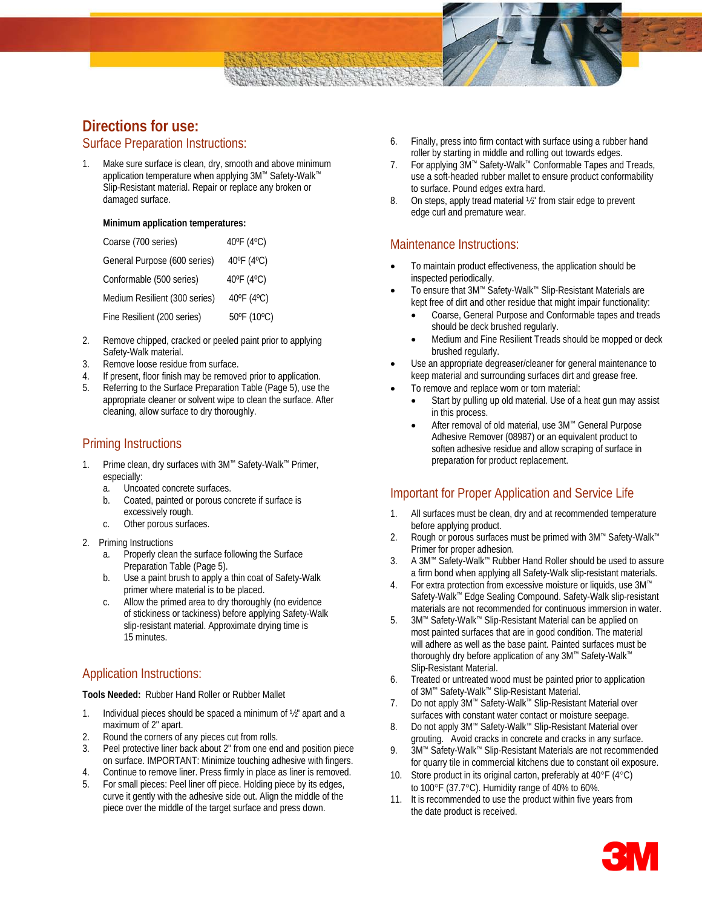

# **Directions for use:**

### Surface Preparation Instructions:

1. Make sure surface is clean, dry, smooth and above minimum application temperature when applying 3M™ Safety-Walk™ Slip-Resistant material. Repair or replace any broken or damaged surface.

#### **Minimum application temperatures:**

| Coarse (700 series)           | 40°F (4°C)           |
|-------------------------------|----------------------|
| General Purpose (600 series)  | 40°F (4°C)           |
| Conformable (500 series)      | 40°F (4°C)           |
| Medium Resilient (300 series) | $40^{\circ}$ F (4°C) |
| Fine Resilient (200 series)   | 50°F (10°C)          |

- 2. Remove chipped, cracked or peeled paint prior to applying Safety-Walk material.
- 3. Remove loose residue from surface.
- 4. If present, floor finish may be removed prior to application.
- 5. Referring to the Surface Preparation Table (Page 5), use the appropriate cleaner or solvent wipe to clean the surface. After cleaning, allow surface to dry thoroughly.

### Priming Instructions

- 1. Prime clean, dry surfaces with 3M™ Safety-Walk™ Primer, especially:
	- a. Uncoated concrete surfaces.
	- b. Coated, painted or porous concrete if surface is excessively rough.
	- c. Other porous surfaces.
- 2. Priming Instructions
	- a. Properly clean the surface following the Surface Preparation Table (Page 5).
	- b. Use a paint brush to apply a thin coat of Safety-Walk primer where material is to be placed.
	- c. Allow the primed area to dry thoroughly (no evidence of stickiness or tackiness) before applying Safety-Walk slip-resistant material. Approximate drying time is 15 minutes.

### Application Instructions:

**Tools Needed:** Rubber Hand Roller or Rubber Mallet

- 1. Individual pieces should be spaced a minimum of 1/2" apart and a maximum of 2" apart.
- 2. Round the corners of any pieces cut from rolls.
- 3. Peel protective liner back about 2" from one end and position piece on surface. IMPORTANT: Minimize touching adhesive with fingers.
- 4. Continue to remove liner. Press firmly in place as liner is removed. 5. For small pieces: Peel liner off piece. Holding piece by its edges,
- curve it gently with the adhesive side out. Align the middle of the piece over the middle of the target surface and press down.
- 6. Finally, press into firm contact with surface using a rubber hand roller by starting in middle and rolling out towards edges.
- 7. For applying 3M™ Safety-Walk™ Conformable Tapes and Treads, use a soft-headed rubber mallet to ensure product conformability to surface. Pound edges extra hard.
- 8. On steps, apply tread material 1/2" from stair edge to prevent edge curl and premature wear.

### Maintenance Instructions:

- To maintain product effectiveness, the application should be inspected periodically.
- To ensure that 3M™ Safety-Walk™ Slip-Resistant Materials are kept free of dirt and other residue that might impair functionality:
	- Coarse, General Purpose and Conformable tapes and treads should be deck brushed regularly.
	- Medium and Fine Resilient Treads should be mopped or deck brushed regularly.
- Use an appropriate degreaser/cleaner for general maintenance to keep material and surrounding surfaces dirt and grease free.
- To remove and replace worn or torn material:
	- Start by pulling up old material. Use of a heat gun may assist in this process.
	- After removal of old material, use 3M™ General Purpose Adhesive Remover (08987) or an equivalent product to soften adhesive residue and allow scraping of surface in preparation for product replacement.

### Important for Proper Application and Service Life

- 1. All surfaces must be clean, dry and at recommended temperature before applying product.
- 2. Rough or porous surfaces must be primed with 3M™ Safety-Walk™ Primer for proper adhesion.
- 3. A 3M™ Safety-Walk™ Rubber Hand Roller should be used to assure a firm bond when applying all Safety-Walk slip-resistant materials.
- 4. For extra protection from excessive moisture or liquids, use 3M™ Safety-Walk™ Edge Sealing Compound. Safety-Walk slip-resistant materials are not recommended for continuous immersion in water.
- 5. 3M™ Safety-Walk™ Slip-Resistant Material can be applied on most painted surfaces that are in good condition. The material will adhere as well as the base paint. Painted surfaces must be thoroughly dry before application of any 3M™ Safety-Walk™ Slip-Resistant Material.
- 6. Treated or untreated wood must be painted prior to application of 3M™ Safety-Walk™ Slip-Resistant Material.
- 7. Do not apply 3M™ Safety-Walk™ Slip-Resistant Material over surfaces with constant water contact or moisture seepage.
- 8. Do not apply 3M™ Safety-Walk™ Slip-Resistant Material over grouting. Avoid cracks in concrete and cracks in any surface.
- 9. 3M™ Safety-Walk™ Slip-Resistant Materials are not recommended for quarry tile in commercial kitchens due to constant oil exposure.
- 10. Store product in its original carton, preferably at 40°F (4°C) to 100°F (37.7°C). Humidity range of 40% to 60%.
- 11. It is recommended to use the product within five years from the date product is received.